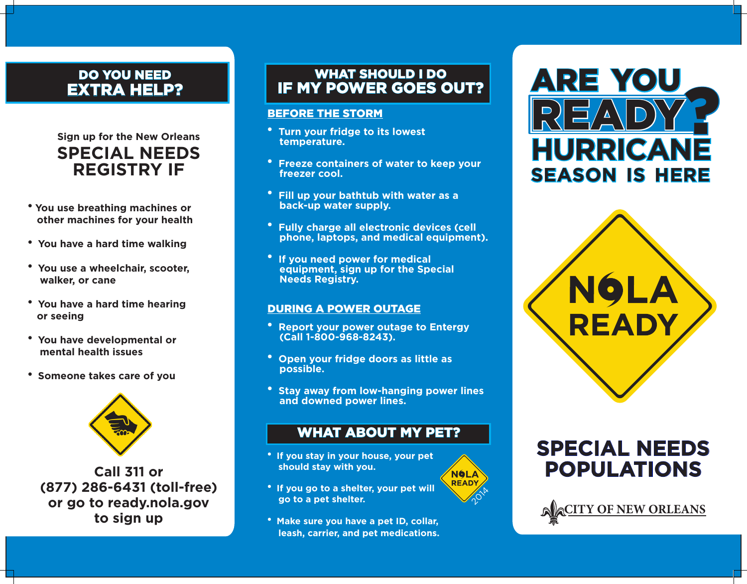# DO YOU NEED EXTRA HELP?

# **Sign up for the New Orleans SPECIAL NEEDS REGISTRY IF**

- <sup>l</sup> **You use breathing machines or other machines for your health**
- **You have a hard time walking**
- <sup>l</sup>**You use a wheelchair, scooter, walker, or cane**
- <sup>l</sup>**You have a hard time hearing or seeing**
- <sup>l</sup>**You have developmental or mental health issues**
- **Someone takes care of you**



**Call 311 or (877) 286-6431 (toll-free) or go to ready.nola.gov to sign up**

## WHAT SHOULD I DO IF MY POWER GOES OUT?

#### BEFORE THE STORM

- $^{\bullet}$  **Turn your fridge to its lowest temperature.**
- <sup>l</sup>**Freeze containers of water to keep your freezer cool.**
- <sup>l</sup>**Fill up your bathtub with water as a back-up water supply.**
- <sup>l</sup>**Fully charge all electronic devices (cell phone, laptops, and medical equipment).**
- $\cdot$  If you need power for medical  **equipment, sign up for the Special Needs Registry.**

#### DURING A POWER OUTAGE

- **Report your power outage to Entergy (Call 1-800-968-8243).**
- **Open your fridge doors as little as possible.**
- **Stay away from low-hanging power lines and downed power lines.**

# WHAT ABOUT MY PET?

 $\sqrt{\rho}^{\prime}$ 

**NOLA READY** 

- <sup>l</sup>**If you stay in your house, your pet should stay with you.**
- **<sup>•</sup>** If you go to a shelter, your pet will  **go to a pet shelter.**
- **Make sure you have a pet ID, collar, leash, carrier, and pet medications.**